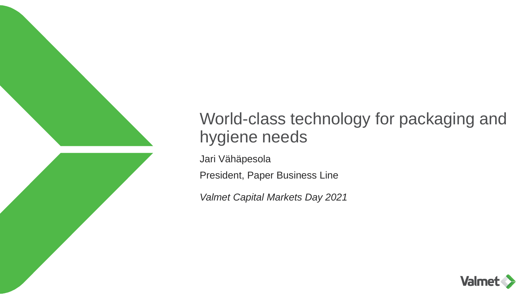

## World-class technology for packaging and hygiene needs

Jari Vähäpesola

President, Paper Business Line

*Valmet Capital Markets Day 2021*

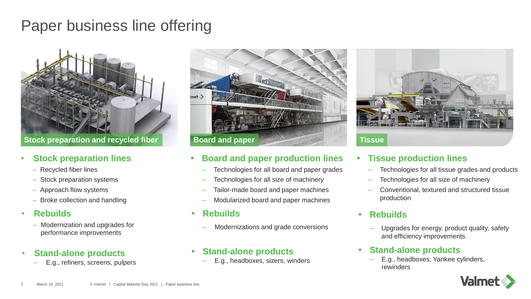## Paper business line offering



**Stock preparation and recycled fiber**

#### • **Stock preparation lines**

- Recycled fiber lines
- Stock preparation systems
- Approach flow systems
- Broke collection and handling

#### • **Rebuilds**

– Modernization and upgrades for performance improvements

#### • **Stand-alone products**

– E.g., refiners, screens, pulpers



#### **Board and paper production lines**

- Technologies for all board and paper grades
- Technologies for all size of machinery
- Tailor-made board and paper machines
- Modularized board and paper machines
- **Rebuilds**
	- Modernizations and grade conversions

#### **Stand-alone products**

– E.g., headboxes, sizers, winders



#### **Tissue production lines**

- Technologies for all tissue grades and products
- Technologies for all size of machinery
- Conventional, textured and structured tissue production

#### **Rebuilds**

– Upgrades for energy, product quality, safety and efficiency improvements

#### **Stand-alone products**

– E.g., headboxes, Yankee cylinders, rewinders

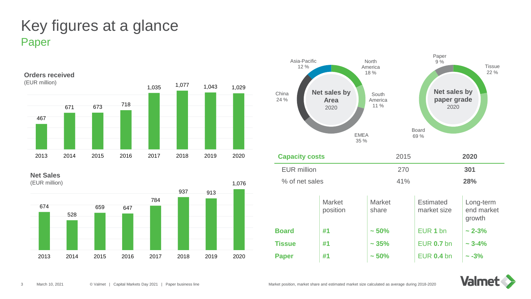## Paper Key figures at a glance



**Net Sales**





| <b>Capacity costs</b> |                           | 2015                   |                                 | 2020                              |
|-----------------------|---------------------------|------------------------|---------------------------------|-----------------------------------|
| <b>EUR million</b>    |                           | 270                    |                                 | 301                               |
| % of net sales        |                           | 41%                    |                                 | 28%                               |
|                       | <b>Market</b><br>position | <b>Market</b><br>share | <b>Estimated</b><br>market size | Long-term<br>end market<br>growth |
| <b>Board</b>          | #1                        | ~1.50%                 | EUR <sub>1</sub> bn             | $\sim$ 2-3%                       |
| <b>Tissue</b>         | #1                        | ~1.35%                 | <b>EUR 0.7 bn</b>               | $\sim$ 3-4%                       |
| <b>Paper</b>          | #1                        | ~1.50%                 | <b>EUR 0.4 bn</b>               | $\sim -3\%$                       |

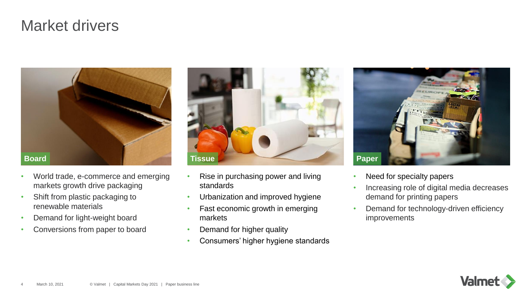## Market drivers



- World trade, e-commerce and emerging markets growth drive packaging
- Shift from plastic packaging to renewable materials
- Demand for light-weight board
- Conversions from paper to board



- Rise in purchasing power and living standards
- Urbanization and improved hygiene
- Fast economic growth in emerging markets
- Demand for higher quality
- Consumers' higher hygiene standards



- Need for specialty papers
- Increasing role of digital media decreases demand for printing papers
- Demand for technology-driven efficiency improvements

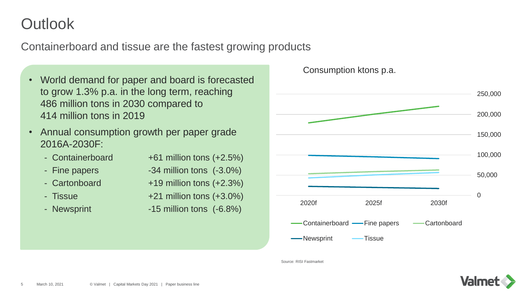## **Outlook**

Containerboard and tissue are the fastest growing products

- World demand for paper and board is forecasted to grow 1.3% p.a. in the long term, reaching 486 million tons in 2030 compared to 414 million tons in 2019
- Annual consumption growth per paper grade 2016A-2030F:

| - Containerboard | +61 million tons $(+2.5%)$    |  |
|------------------|-------------------------------|--|
| - Fine papers    | $-34$ million tons $(-3.0\%)$ |  |
|                  |                               |  |

- 
- 
- 
- Cartonboard +19 million tons (+2.3%)
- Tissue  $+21$  million tons  $(+3.0\%)$
- Newsprint -15 million tons (-6.8%)





Source: RISI Fastmarket

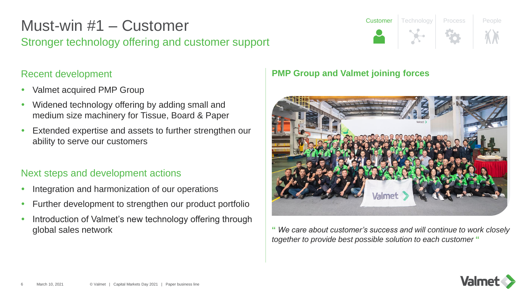## Stronger technology offering and customer support Must-win #1 – Customer

#### Recent development

- Valmet acquired PMP Group
- Widened technology offering by adding small and medium size machinery for Tissue, Board & Paper
- Extended expertise and assets to further strengthen our ability to serve our customers

#### Next steps and development actions

- Integration and harmonization of our operations
- Further development to strengthen our product portfolio
- Introduction of Valmet's new technology offering through global sales network

#### **PMP Group and Valmet joining forces**



**Customer** Technology Process People

**"** *We care about customer's success and will continue to work closely together to provide best possible solution to each customer* **"**

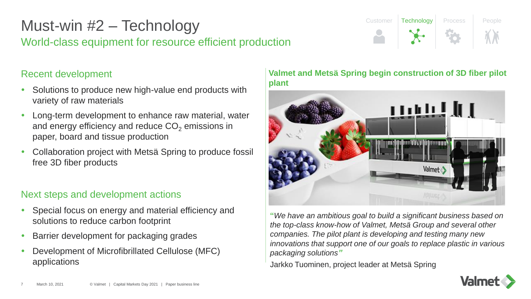## World-class equipment for resource efficient production Must-win #2 – Technology

#### Recent development

- Solutions to produce new high-value end products with variety of raw materials
- Long-term development to enhance raw material, water and energy efficiency and reduce  $CO<sub>2</sub>$  emissions in paper, board and tissue production
- Collaboration project with Metsä Spring to produce fossil free 3D fiber products

#### Next steps and development actions

- Special focus on energy and material efficiency and solutions to reduce carbon footprint
- Barrier development for packaging grades
- Development of Microfibrillated Cellulose (MFC) applications

#### **Valmet and Metsä Spring begin construction of 3D fiber pilot plant**

Customer Technology Process People



**"***We have an ambitious goal to build a significant business based on the top-class know-how of Valmet, Metsä Group and several other companies. The pilot plant is developing and testing many new innovations that support one of our goals to replace plastic in various packaging solutions"*

Jarkko Tuominen, project leader at Metsä Spring

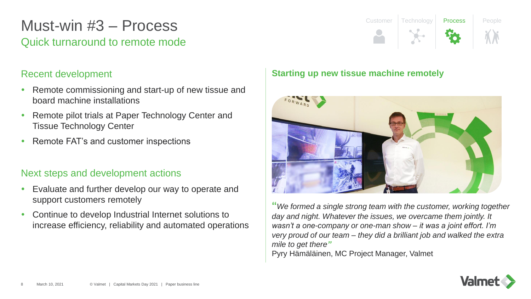## Quick turnaround to remote mode Must-win #3 – Process

#### Recent development

- Remote commissioning and start-up of new tissue and board machine installations
- Remote pilot trials at Paper Technology Center and Tissue Technology Center
- Remote FAT's and customer inspections

#### Next steps and development actions

- Evaluate and further develop our way to operate and support customers remotely
- Continue to develop Industrial Internet solutions to increase efficiency, reliability and automated operations

# Customer Technology Process People

#### **Starting up new tissue machine remotely**



**"***We formed a single strong team with the customer, working together day and night. Whatever the issues, we overcame them jointly. It wasn't a one-company or one-man show – it was a joint effort. I'm very proud of our team – they did a brilliant job and walked the extra mile to get there"* Pyry Hämäläinen, MC Project Manager, Valmet

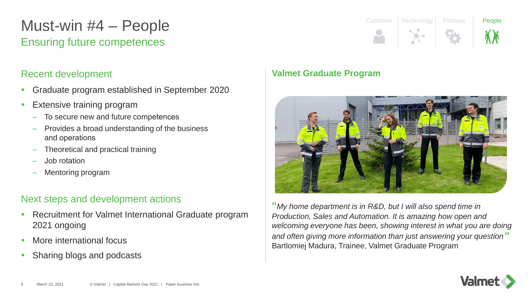## Ensuring future competences Must-win #4 – People

#### Recent development

- Graduate program established in September 2020
- Extensive training program
	- To secure new and future competences
	- Provides a broad understanding of the business and operations
	- Theoretical and practical training
	- Job rotation
	- Mentoring program

#### Next steps and development actions

- Recruitment for Valmet International Graduate program 2021 ongoing
- More international focus
- Sharing blogs and podcasts

### **Valmet Graduate Program**



Customer Technology Process **People** 

**"***My home department is in R&D, but I will also spend time in Production, Sales and Automation. It is amazing how open and welcoming everyone has been, showing interest in what you are doing and often giving more information than just answering your question* **"** Bartlomiej Madura, Trainee, Valmet Graduate Program